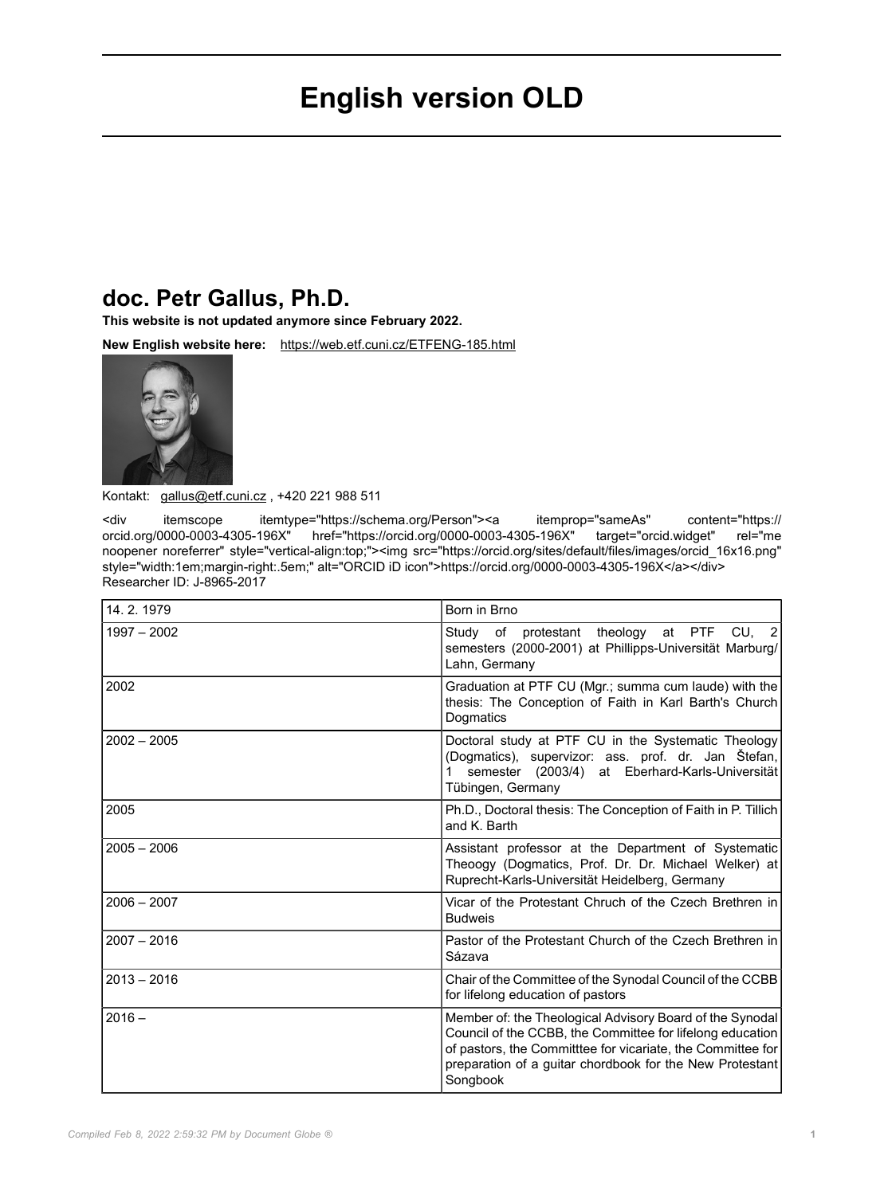# **English version OLD**

## **doc. Petr Gallus, Ph.D.**

**This website is not updated anymore since February 2022.**

**New English website here:** <https://web.etf.cuni.cz/ETFENG-185.html>



Kontakt: [gallus@etf.cuni.cz](mailto:gallus@etf.cuni.cz) , +420 221 988 511

<div itemscope itemtype="https://schema.org/Person"><a itemprop="sameAs" content="https:// orcid.org/0000-0003-4305-196X" href="https://orcid.org/0000-0003-4305-196X" target="orcid.widget" noopener noreferrer" style="vertical-align:top;"><img src="https://orcid.org/sites/default/files/images/orcid\_16x16.png" style="width:1em;margin-right:.5em;" alt="ORCID iD icon">https://orcid.org/0000-0003-4305-196X</a></div> Researcher ID: J-8965-2017

| 14.2.1979     | Born in Brno                                                                                                                                                                                                                                                 |
|---------------|--------------------------------------------------------------------------------------------------------------------------------------------------------------------------------------------------------------------------------------------------------------|
| $1997 - 2002$ | at PTF<br>CU, 2<br>of protestant theology<br>Study<br>semesters (2000-2001) at Phillipps-Universität Marburg/<br>Lahn, Germany                                                                                                                               |
| 2002          | Graduation at PTF CU (Mgr.; summa cum laude) with the<br>thesis: The Conception of Faith in Karl Barth's Church<br>Dogmatics                                                                                                                                 |
| $2002 - 2005$ | Doctoral study at PTF CU in the Systematic Theology<br>(Dogmatics), supervizor: ass. prof. dr. Jan Štefan,<br>semester (2003/4) at Eberhard-Karls-Universität<br>Tübingen, Germany                                                                           |
| 2005          | Ph.D., Doctoral thesis: The Conception of Faith in P. Tillich<br>and K. Barth                                                                                                                                                                                |
| $2005 - 2006$ | Assistant professor at the Department of Systematic<br>Theoogy (Dogmatics, Prof. Dr. Dr. Michael Welker) at<br>Ruprecht-Karls-Universität Heidelberg, Germany                                                                                                |
| $2006 - 2007$ | Vicar of the Protestant Chruch of the Czech Brethren in<br><b>Budweis</b>                                                                                                                                                                                    |
| $2007 - 2016$ | Pastor of the Protestant Church of the Czech Brethren in<br>Sázava                                                                                                                                                                                           |
| $2013 - 2016$ | Chair of the Committee of the Synodal Council of the CCBB<br>for lifelong education of pastors                                                                                                                                                               |
| $2016 -$      | Member of: the Theological Advisory Board of the Synodal<br>Council of the CCBB, the Committee for lifelong education<br>of pastors, the Committtee for vicariate, the Committee for<br>preparation of a guitar chordbook for the New Protestant<br>Songbook |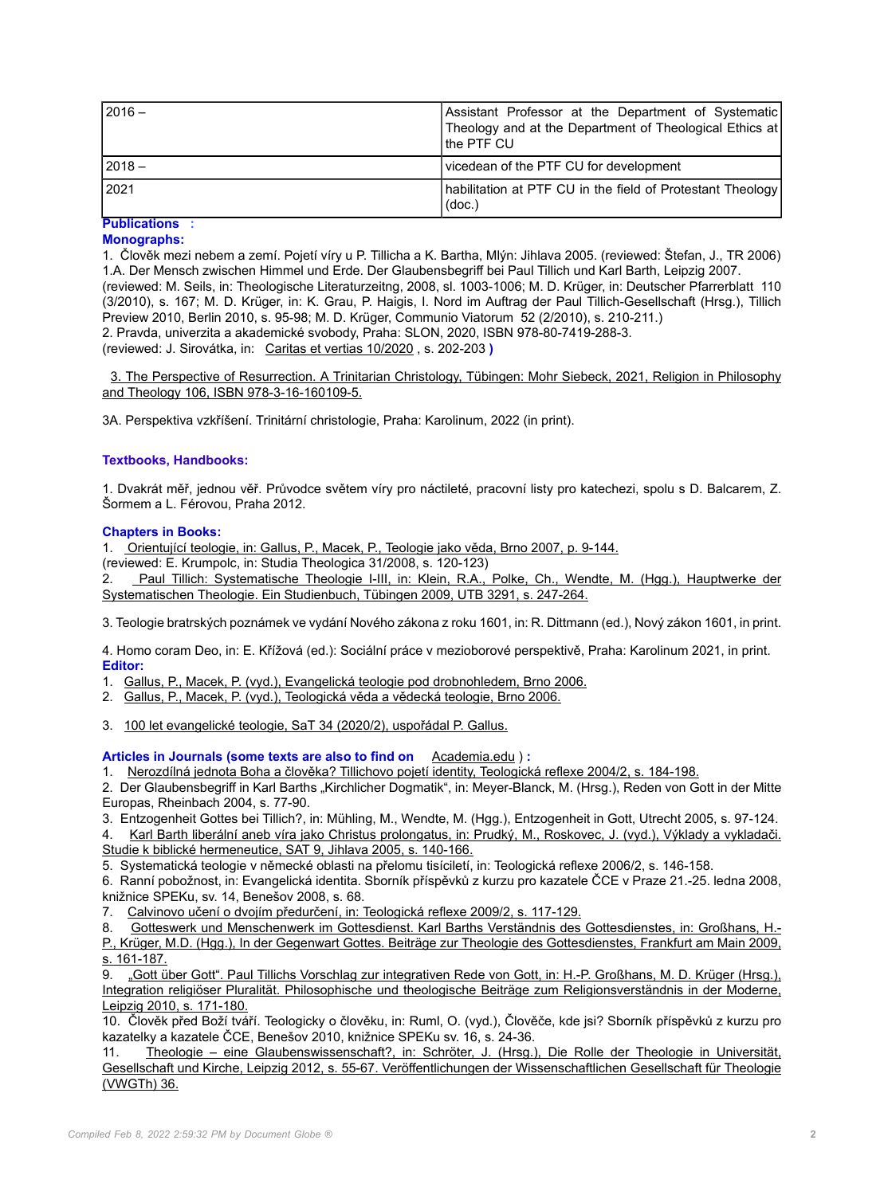| $12016 -$           | Assistant Professor at the Department of Systematic<br>Theology and at the Department of Theological Ethics at<br>I the PTF CU |
|---------------------|--------------------------------------------------------------------------------------------------------------------------------|
| $12018 -$           | vicedean of the PTF CU for development                                                                                         |
| 2021                | [habilitation at PTF CU in the field of Protestant Theology]<br>(doc.)                                                         |
| <b>Publications</b> |                                                                                                                                |

### **Monographs:**

1. Člověk mezi nebem a zemí. Pojetí víry u P. Tillicha a K. Bartha, Mlýn: Jihlava 2005. (reviewed: Štefan, J., TR 2006) 1.A. Der Mensch zwischen Himmel und Erde. Der Glaubensbegriff bei Paul Tillich und Karl Barth, Leipzig 2007. (reviewed: M. Seils, in: Theologische Literaturzeitng, 2008, sl. 1003-1006; M. D. Krüger, in: Deutscher Pfarrerblatt 110 (3/2010), s. 167; M. D. Krüger, in: K. Grau, P. Haigis, I. Nord im Auftrag der Paul Tillich-Gesellschaft (Hrsg.), Tillich Preview 2010, Berlin 2010, s. 95-98; M. D. Krüger, Communio Viatorum 52 (2/2010), s. 210-211.) 2. Pravda, univerzita a akademické svobody, Praha: SLON, 2020, ISBN 978-80-7419-288-3. (reviewed: J. Sirovátka, in: [Caritas et vertias 10/2020](http://www.caritasetveritas.cz/index.php?action=openfile&pkey=332) , s. 202-203 **)**

[3. The Perspective of Resurrection. A Trinitarian Christology, Tübingen: Mohr Siebeck, 2021, Religion in Philosophy](https://www.mohrsiebeck.com/buch/the-perspective-of-resurrection-9783161601095?no_cache=1) [and Theology 106, ISBN 978-3-16-160109-5.](https://www.mohrsiebeck.com/buch/the-perspective-of-resurrection-9783161601095?no_cache=1)

3A. Perspektiva vzkříšení. Trinitární christologie, Praha: Karolinum, 2022 (in print).

#### **Textbooks, Handbooks:**

1. Dvakrát měř, jednou věř. Průvodce světem víry pro náctileté, pracovní listy pro katechezi, spolu s D. Balcarem, Z. Šormem a L. Férovou, Praha 2012.

#### **Chapters in Books:**

1. [Orientující teologie, in: Gallus, P., Macek, P., Teologie jako věda, Brno 2007, p. 9-144.](https://www.cdk.cz/knihy/moderni-ceska-teologie/teologie-jako-veda)

(reviewed: E. Krumpolc, in: Studia Theologica 31/2008, s. 120-123)

2. [Paul Tillich: Systematische Theologie I-III, in: Klein, R.A., Polke, Ch., Wendte, M. \(Hgg.\), Hauptwerke der](https://www.mohrsiebeck.com/buch/hauptwerke-der-systematischen-theologie-9783825232917?no_cache=1&tx_sgpublisher_pi1%5Bbacklink%5D=1) [Systematischen Theologie. Ein Studienbuch, Tübingen 2009, UTB 3291, s. 247-264.](https://www.mohrsiebeck.com/buch/hauptwerke-der-systematischen-theologie-9783825232917?no_cache=1&tx_sgpublisher_pi1%5Bbacklink%5D=1)

3. Teologie bratrských poznámek ve vydání Nového zákona z roku 1601, in: R. Dittmann (ed.), Nový zákon 1601, in print.

4. Homo coram Deo, in: E. Křížová (ed.): Sociální práce v mezioborové perspektivě, Praha: Karolinum 2021, in print. **Editor:**

- 1. [Gallus, P., Macek, P. \(vyd.\), Evangelická teologie pod drobnohledem, Brno 2006.](https://www.cdk.cz/knihy/moderni-ceska-teologie/evangelicka-teologie-pod-drobnohledem)
- 2. [Gallus, P., Macek, P. \(vyd.\), Teologická věda a vědecká teologie, Brno 2006.](https://www.cdk.cz/knihy/moderni-ceska-teologie/teologicka-veda-vedecka-teologie)
- 3. [100 let evangelické teologie, SaT 34 \(2020/2\), uspořádal P. Gallus.](http://www.etf.cuni.cz/sat/Pdf/SAT%202020-2.pdf)

**Articles in Journals (some texts are also to find on** [Academia.edu](https://cuni.academia.edu/PetrGallus/Papers) ) **:**

1. [Nerozdílná jednota Boha a člověka? Tillichovo pojetí identity, Teologická reflexe 2004/2, s. 184-198.](https://www.academia.edu/41235748/Nerozd%C3%ADln%C3%A1_jednota_Boha_a_%C4%8Dlov%C4%9Bka_Tillichovo_pojet%C3%AD_identity)

2. Der Glaubensbegriff in Karl Barths "Kirchlicher Dogmatik", in: Meyer-Blanck, M. (Hrsg.), Reden von Gott in der Mitte Europas, Rheinbach 2004, s. 77-90.

3. Entzogenheit Gottes bei Tillich?, in: Mühling, M., Wendte, M. (Hgg.), Entzogenheit in Gott, Utrecht 2005, s. 97-124.

4. [Karl Barth liberální aneb víra jako Christus prolongatus, in: Prudký, M., Roskovec, J. \(vyd.\), Výklady a vykladači.](https://www.academia.edu/40974456/K._Barth_liber%C3%A1ln%C3%AD_aneb_v%C3%ADra_jako_Christus_prolongatus) [Studie k biblické hermeneutice, SAT 9, Jihlava 2005, s. 140-166.](https://www.academia.edu/40974456/K._Barth_liber%C3%A1ln%C3%AD_aneb_v%C3%ADra_jako_Christus_prolongatus)

5. Systematická teologie v německé oblasti na přelomu tisíciletí, in: Teologická reflexe 2006/2, s. 146-158.

6. Ranní pobožnost, in: Evangelická identita. Sborník příspěvků z kurzu pro kazatele ČCE v Praze 21.-25. ledna 2008, knižnice SPEKu, sv. 14, Benešov 2008, s. 68.

7. [Calvinovo učení o dvojím předurčení, in: Teologická reflexe 2009/2, s. 117-129.](https://www.academia.edu/41276086/Calvinovo_u%C4%8Den%C3%AD_o_dvoj%C3%ADm_p%C5%99edur%C4%8Den%C3%AD)

8. [Gotteswerk und Menschenwerk im Gottesdienst. Karl Barths Verständnis des Gottesdienstes, in: Großhans, H.-](https://www.academia.edu/41276104/Gotteswerk_und_Menschenwerk_im_Gottesdienst._Karl_Barths_Verst%C3%A4ndnis_des_Gottesdienstes)

[P., Krüger, M.D. \(Hgg.\), In der Gegenwart Gottes. Beiträge zur Theologie des Gottesdienstes, Frankfurt am Main 2009,](https://www.academia.edu/41276104/Gotteswerk_und_Menschenwerk_im_Gottesdienst._Karl_Barths_Verst%C3%A4ndnis_des_Gottesdienstes) [s. 161-187.](https://www.academia.edu/41276104/Gotteswerk_und_Menschenwerk_im_Gottesdienst._Karl_Barths_Verst%C3%A4ndnis_des_Gottesdienstes)

9. ["Gott über Gott". Paul Tillichs Vorschlag zur integrativen Rede von Gott, in: H.-P. Großhans, M. D. Krüger \(Hrsg.\),](https://www.academia.edu/41276155/_Gott_%C3%BCber_Gott_._Paul_Tillichs_Vorschlag_zur_integrativen_Rede_von_Gott) [Integration religiöser Pluralität. Philosophische und theologische Beiträge zum Religionsverständnis in der Moderne,](https://www.academia.edu/41276155/_Gott_%C3%BCber_Gott_._Paul_Tillichs_Vorschlag_zur_integrativen_Rede_von_Gott) [Leipzig 2010, s. 171-180.](https://www.academia.edu/41276155/_Gott_%C3%BCber_Gott_._Paul_Tillichs_Vorschlag_zur_integrativen_Rede_von_Gott)

10. Člověk před Boží tváří. Teologicky o člověku, in: Ruml, O. (vyd.), Člověče, kde jsi? Sborník příspěvků z kurzu pro kazatelky a kazatele ČCE, Benešov 2010, knižnice SPEKu sv. 16, s. 24-36.

11. [Theologie – eine Glaubenswissenschaft?, in: Schröter, J. \(Hrsg.\), Die Rolle der Theologie in Universität,](https://www.academia.edu/40183684/Theologie_-_eine_Glaubenswissenschaft) [Gesellschaft und Kirche, Leipzig 2012, s. 55-67. Veröffentlichungen der Wissenschaftlichen Gesellschaft für Theologie](https://www.academia.edu/40183684/Theologie_-_eine_Glaubenswissenschaft) [\(VWGTh\) 36.](https://www.academia.edu/40183684/Theologie_-_eine_Glaubenswissenschaft)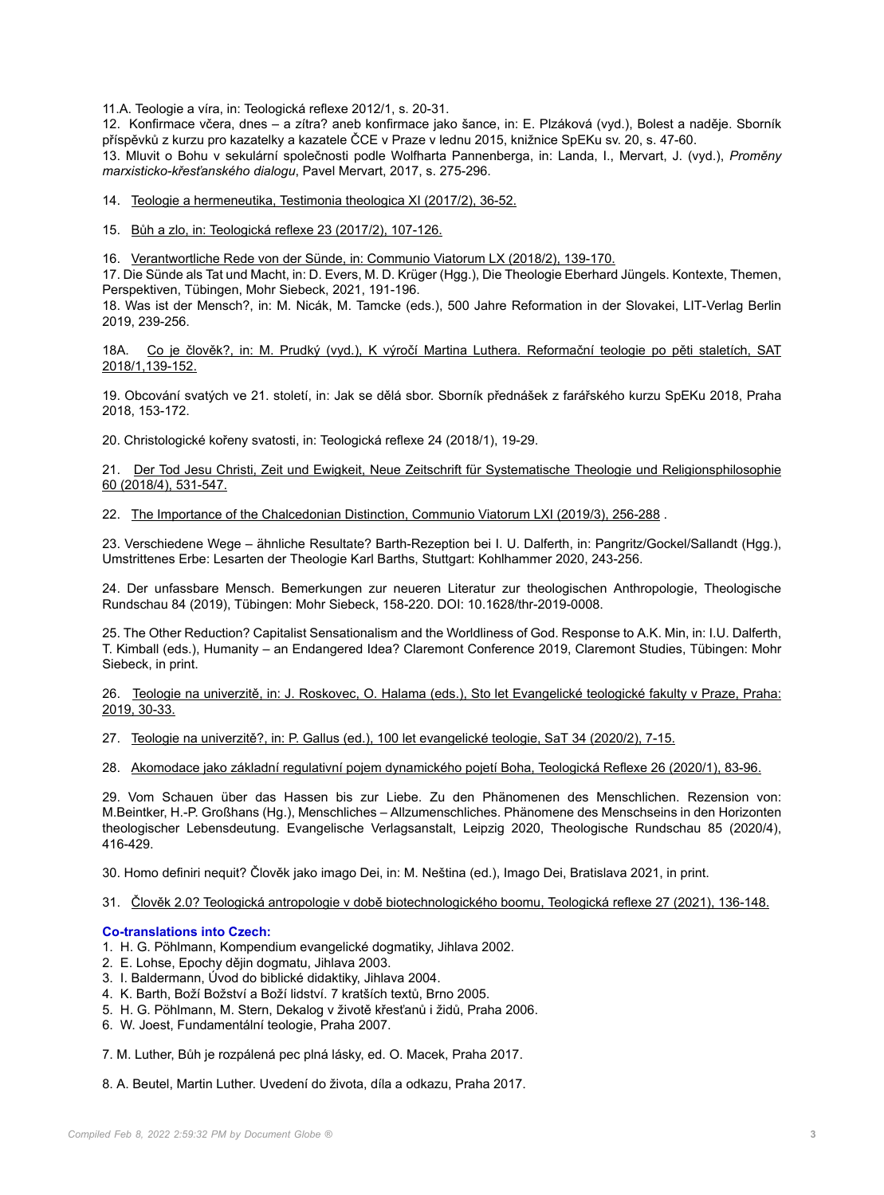11.A. Teologie a víra, in: Teologická reflexe 2012/1, s. 20-31.

12. Konfirmace včera, dnes – a zítra? aneb konfirmace jako šance, in: E. Plzáková (vyd.), Bolest a naděje. Sborník příspěvků z kurzu pro kazatelky a kazatele ČCE v Praze v lednu 2015, knižnice SpEKu sv. 20, s. 47-60. 13. Mluvit o Bohu v sekulární společnosti podle Wolfharta Pannenberga, in: Landa, I., Mervart, J. (vyd.), *Proměny marxisticko-křesťanského dialogu*, Pavel Mervart, 2017, s. 275-296.

14. [Teologie a hermeneutika, Testimonia theologica XI \(2017/2\), 36-52.](https://www.academia.edu/40974277/TEOLOGIE_A_HERMENEUTIKA_N%C4%9AKOLIK_KRITICK%C3%9DCH_POZN%C3%81MEK_K_HERMENEUTICK%C3%89_TEOLOGII)

15. [Bůh a zlo, in: Teologická reflexe 23 \(2017/2\), 107-126.](https://www.academia.edu/41276054/B%C5%AFh_a_zlo)

16. [Verantwortliche Rede von der Sünde, in: Communio Viatorum LX \(2018/2\), 139-170.](https://www.academia.edu/40974446/Verantwortliche_Rede_von_der_S%C3%BCnde)

17. Die Sünde als Tat und Macht, in: D. Evers, M. D. Krüger (Hgg.), Die Theologie Eberhard Jüngels. Kontexte, Themen, Perspektiven, Tübingen, Mohr Siebeck, 2021, 191-196.

18. Was ist der Mensch?, in: M. Nicák, M. Tamcke (eds.), 500 Jahre Reformation in der Slovakei, LIT-Verlag Berlin 2019, 239-256.

18A. [Co je člověk?, in: M. Prudký \(vyd.\), K výročí Martina Luthera. Reformační teologie po pěti staletích, SAT](https://www.academia.edu/40974490/Co_je_%C4%8Dlov%C4%9Bk_Teologick%C3%A1_antropologie_ve_sv%C4%9Btle_reforma%C4%8Dn%C3%AD_teologie) [2018/1,139-152.](https://www.academia.edu/40974490/Co_je_%C4%8Dlov%C4%9Bk_Teologick%C3%A1_antropologie_ve_sv%C4%9Btle_reforma%C4%8Dn%C3%AD_teologie)

19. Obcování svatých ve 21. století, in: Jak se dělá sbor. Sborník přednášek z farářského kurzu SpEKu 2018, Praha 2018, 153-172.

20. Christologické kořeny svatosti, in: Teologická reflexe 24 (2018/1), 19-29.

21. [Der Tod Jesu Christi, Zeit und Ewigkeit, Neue Zeitschrift für Systematische Theologie und Religionsphilosophie](https://www.degruyter.com/view/j/nzsth.2018.60.issue-4/nzsth-2018-0032/nzsth-2018-0032.xml) [60 \(2018/4\), 531-547.](https://www.degruyter.com/view/j/nzsth.2018.60.issue-4/nzsth-2018-0032/nzsth-2018-0032.xml)

22. [The Importance of the Chalcedonian Distinction, Communio Viatorum LXI \(2019/3\), 256-288](https://www.academia.edu/42176258/The_Importance_of_the_Chalcedonian_Distinction) .

23. Verschiedene Wege – ähnliche Resultate? Barth-Rezeption bei I. U. Dalferth, in: Pangritz/Gockel/Sallandt (Hgg.), Umstrittenes Erbe: Lesarten der Theologie Karl Barths, Stuttgart: Kohlhammer 2020, 243-256.

24. Der unfassbare Mensch. Bemerkungen zur neueren Literatur zur theologischen Anthropologie, Theologische Rundschau 84 (2019), Tübingen: Mohr Siebeck, 158-220. DOI: 10.1628/thr-2019-0008.

25. The Other Reduction? Capitalist Sensationalism and the Worldliness of God. Response to A.K. Min, in: I.U. Dalferth, T. Kimball (eds.), Humanity – an Endangered Idea? Claremont Conference 2019, Claremont Studies, Tübingen: Mohr Siebeck, in print.

26. [Teologie na univerzitě, in: J. Roskovec, O. Halama \(eds.\), Sto let Evangelické teologické fakulty v Praze, Praha:](https://www.academia.edu/41109056/Teologie_na_univerzit%C4%9B) [2019, 30-33.](https://www.academia.edu/41109056/Teologie_na_univerzit%C4%9B)

27. [Teologie na univerzitě?, in: P. Gallus \(ed.\), 100 let evangelické teologie, SaT 34 \(2020/2\), 7-15.](http://www.etf.cuni.cz/sat/2020-2.html)

28. [Akomodace jako základní regulativní pojem dynamického pojetí Boha, Teologická Reflexe 26 \(2020/1\), 83-96.](https://www.academia.edu/43625275/Akomodace_jako_z%C3%A1kladn%C3%AD_regulativn%C3%AD_pojem_dynamick%C3%A9ho_pojmu_Boha)

29. Vom Schauen über das Hassen bis zur Liebe. Zu den Phänomenen des Menschlichen. Rezension von: M.Beintker, H.-P. Großhans (Hg.), Menschliches – Allzumenschliches. Phänomene des Menschseins in den Horizonten theologischer Lebensdeutung. Evangelische Verlagsanstalt, Leipzig 2020, Theologische Rundschau 85 (2020/4), 416-429.

30. Homo definiri nequit? Člověk jako imago Dei, in: M. Neština (ed.), Imago Dei, Bratislava 2021, in print.

31. [Člověk 2.0? Teologická antropologie v době biotechnologického boomu, Teologická reflexe 27 \(2021\), 136-148.](https://www.academia.edu/s/3507609a9a)

#### **Co-translations into Czech:**

- 1. H. G. Pöhlmann, Kompendium evangelické dogmatiky, Jihlava 2002.
- 2. E. Lohse, Epochy dějin dogmatu, Jihlava 2003.
- 3. I. Baldermann, Úvod do biblické didaktiky, Jihlava 2004.
- 4. K. Barth, Boží Božství a Boží lidství. 7 kratších textů, Brno 2005.
- 5. H. G. Pöhlmann, M. Stern, Dekalog v životě křesťanů i židů, Praha 2006.
- 6. W. Joest, Fundamentální teologie, Praha 2007.

7. M. Luther, Bůh je rozpálená pec plná lásky, ed. O. Macek, Praha 2017.

8. A. Beutel, Martin Luther. Uvedení do života, díla a odkazu, Praha 2017.